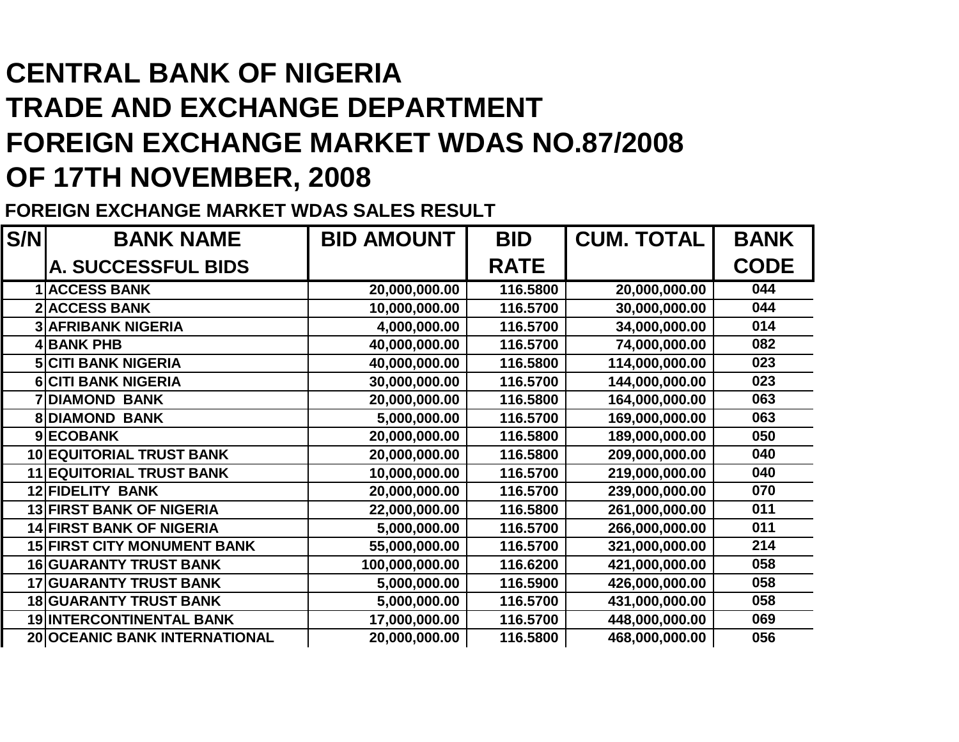## **CENTRAL BANK OF NIGERIA TRADE AND EXCHANGE DEPARTMENT FOREIGN EXCHANGE MARKET WDAS NO.87/2008OF 17TH NOVEMBER, 2008**

**FOREIGN EXCHANGE MARKET WDAS SALES RESULT**

| S/N | <b>BANK NAME</b>                   | <b>BID AMOUNT</b> | <b>BID</b>  | <b>CUM. TOTAL</b> | <b>BANK</b> |
|-----|------------------------------------|-------------------|-------------|-------------------|-------------|
|     | A. SUCCESSFUL BIDS                 |                   | <b>RATE</b> |                   | <b>CODE</b> |
|     | <b>ACCESS BANK</b>                 | 20,000,000.00     | 116.5800    | 20,000,000.00     | 044         |
|     | <b>ACCESS BANK</b>                 | 10,000,000.00     | 116.5700    | 30,000,000.00     | 044         |
|     | <b>3 AFRIBANK NIGERIA</b>          | 4,000,000.00      | 116.5700    | 34,000,000.00     | 014         |
|     | 4 BANK PHB                         | 40,000,000.00     | 116.5700    | 74,000,000.00     | 082         |
|     | <b>5 CITI BANK NIGERIA</b>         | 40,000,000.00     | 116.5800    | 114,000,000.00    | 023         |
|     | <b>6 CITI BANK NIGERIA</b>         | 30,000,000.00     | 116.5700    | 144,000,000.00    | 023         |
|     | <b>7 DIAMOND BANK</b>              | 20,000,000.00     | 116.5800    | 164,000,000.00    | 063         |
|     | <b>8DIAMOND BANK</b>               | 5,000,000.00      | 116.5700    | 169,000,000.00    | 063         |
|     | 9ECOBANK                           | 20,000,000.00     | 116.5800    | 189,000,000.00    | 050         |
|     | <b>10 EQUITORIAL TRUST BANK</b>    | 20,000,000.00     | 116.5800    | 209,000,000.00    | 040         |
|     | <b>11 EQUITORIAL TRUST BANK</b>    | 10,000,000.00     | 116.5700    | 219,000,000.00    | 040         |
|     | <b>12 FIDELITY BANK</b>            | 20,000,000.00     | 116.5700    | 239,000,000.00    | 070         |
|     | <b>13 FIRST BANK OF NIGERIA</b>    | 22,000,000.00     | 116.5800    | 261,000,000.00    | 011         |
|     | <b>14 FIRST BANK OF NIGERIA</b>    | 5,000,000.00      | 116.5700    | 266,000,000.00    | 011         |
|     | <b>15 FIRST CITY MONUMENT BANK</b> | 55,000,000.00     | 116.5700    | 321,000,000.00    | 214         |
|     | <b>16 GUARANTY TRUST BANK</b>      | 100,000,000.00    | 116.6200    | 421,000,000.00    | 058         |
|     | <b>17 GUARANTY TRUST BANK</b>      | 5,000,000.00      | 116.5900    | 426,000,000.00    | 058         |
|     | <b>18 GUARANTY TRUST BANK</b>      | 5,000,000.00      | 116.5700    | 431,000,000.00    | 058         |
|     | <b>19 INTERCONTINENTAL BANK</b>    | 17,000,000.00     | 116.5700    | 448,000,000.00    | 069         |
|     | 20 OCEANIC BANK INTERNATIONAL      | 20,000,000.00     | 116.5800    | 468,000,000.00    | 056         |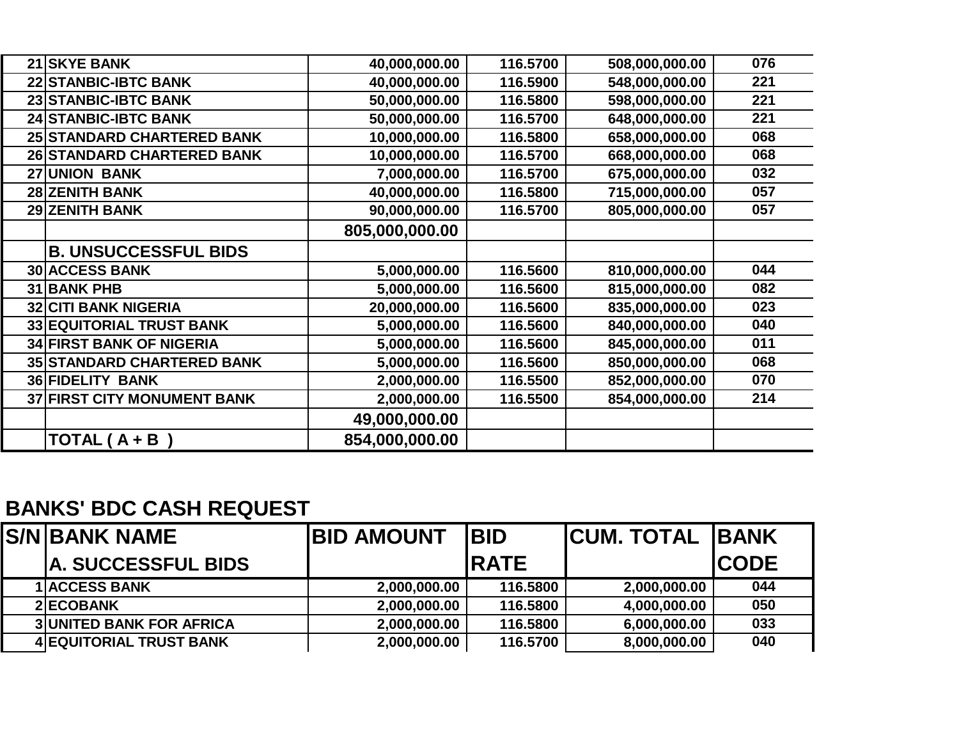| 21 SKYE BANK                       | 40,000,000.00  | 116.5700 | 508,000,000.00 | 076 |
|------------------------------------|----------------|----------|----------------|-----|
| 22 STANBIC-IBTC BANK               | 40,000,000.00  | 116.5900 | 548,000,000.00 | 221 |
| 23 STANBIC-IBTC BANK               | 50,000,000.00  | 116.5800 | 598,000,000.00 | 221 |
| <b>24 STANBIC-IBTC BANK</b>        | 50,000,000.00  | 116.5700 | 648,000,000.00 | 221 |
| 25 STANDARD CHARTERED BANK         | 10,000,000.00  | 116.5800 | 658,000,000.00 | 068 |
| 26 STANDARD CHARTERED BANK         | 10,000,000.00  | 116.5700 | 668,000,000.00 | 068 |
| <b>27 UNION BANK</b>               | 7,000,000.00   | 116.5700 | 675,000,000.00 | 032 |
| <b>28 ZENITH BANK</b>              | 40,000,000.00  | 116.5800 | 715,000,000.00 | 057 |
| <b>29 ZENITH BANK</b>              | 90,000,000.00  | 116.5700 | 805,000,000.00 | 057 |
|                                    | 805,000,000.00 |          |                |     |
| <b>B. UNSUCCESSFUL BIDS</b>        |                |          |                |     |
| <b>30 ACCESS BANK</b>              | 5,000,000.00   | 116.5600 | 810,000,000.00 | 044 |
| 31 BANK PHB                        | 5,000,000.00   | 116.5600 | 815,000,000.00 | 082 |
| <b>32 CITI BANK NIGERIA</b>        | 20,000,000.00  | 116.5600 | 835,000,000.00 | 023 |
| <b>33 EQUITORIAL TRUST BANK</b>    | 5,000,000.00   | 116.5600 | 840,000,000.00 | 040 |
| <b>34 FIRST BANK OF NIGERIA</b>    | 5,000,000.00   | 116.5600 | 845,000,000.00 | 011 |
| <b>35 STANDARD CHARTERED BANK</b>  | 5,000,000.00   | 116.5600 | 850,000,000.00 | 068 |
| <b>36 FIDELITY BANK</b>            | 2,000,000.00   | 116.5500 | 852,000,000.00 | 070 |
| <b>37 FIRST CITY MONUMENT BANK</b> | 2,000,000.00   | 116.5500 | 854,000,000.00 | 214 |
|                                    | 49,000,000.00  |          |                |     |
| TOTAL $(A + B)$                    | 854,000,000.00 |          |                |     |

## **BANKS' BDC CASH REQUEST**

| <b>S/NIBANK NAME</b>            | <b>BID AMOUNT</b> | <b>IBID</b>  | <b>ICUM. TOTAL IBANK</b> |              |
|---------------------------------|-------------------|--------------|--------------------------|--------------|
| <b>IA. SUCCESSFUL BIDS</b>      |                   | <b>IRATE</b> |                          | <b>ICODE</b> |
| <b>1 ACCESS BANK</b>            | 2,000,000.00      | 116.5800     | 2,000,000.00             | 044          |
| 2 ECOBANK                       | 2,000,000.00      | 116,5800     | 4,000,000.00             | 050          |
| <b>3 UNITED BANK FOR AFRICA</b> | 2,000,000.00      | 116.5800     | 6,000,000.00             | 033          |
| <b>4 EQUITORIAL TRUST BANK</b>  | 2,000,000.00      | 116.5700     | 8,000,000.00             | 040          |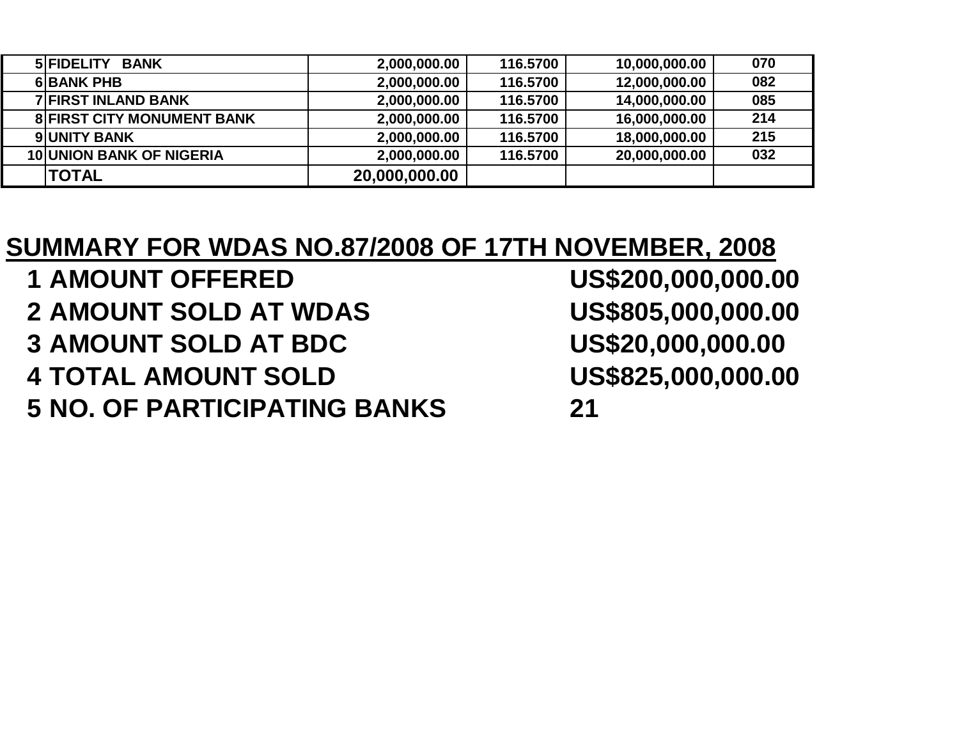| <b>BANK</b><br><b>5 FIDELITY</b>  | 2,000,000.00  | 116.5700 | 10,000,000.00 | 070 |
|-----------------------------------|---------------|----------|---------------|-----|
| <b>6 BANK PHB</b>                 | 2,000,000.00  | 116.5700 | 12,000,000.00 | 082 |
| <b>7 FIRST INLAND BANK</b>        | 2,000,000.00  | 116.5700 | 14,000,000.00 | 085 |
| <b>8 FIRST CITY MONUMENT BANK</b> | 2,000,000.00  | 116.5700 | 16,000,000.00 | 214 |
| <b>9 UNITY BANK</b>               | 2,000,000.00  | 116.5700 | 18,000,000.00 | 215 |
| <b>10 UNION BANK OF NIGERIA</b>   | 2,000,000.00  | 116.5700 | 20,000,000.00 | 032 |
| <b>TOTAL</b>                      | 20,000,000.00 |          |               |     |

## **SUMMARY FOR WDAS NO.87/2008 OF 17TH NOVEMBER, 2008**

- **<sup>1</sup> AMOUNT OFFERED US\$200,000,000.00**
- **2 AMOUNT SOLD AT WDAS**
- **3** AMOUNT SOLD AT BDC
- **4 TOTAL AMOUNT SOLD**
- **5 NO. OF PARTICIPATING BANKS <sup>21</sup>**

US\$805,000,000.00 US\$20,000,000.00 US\$825,000,000.00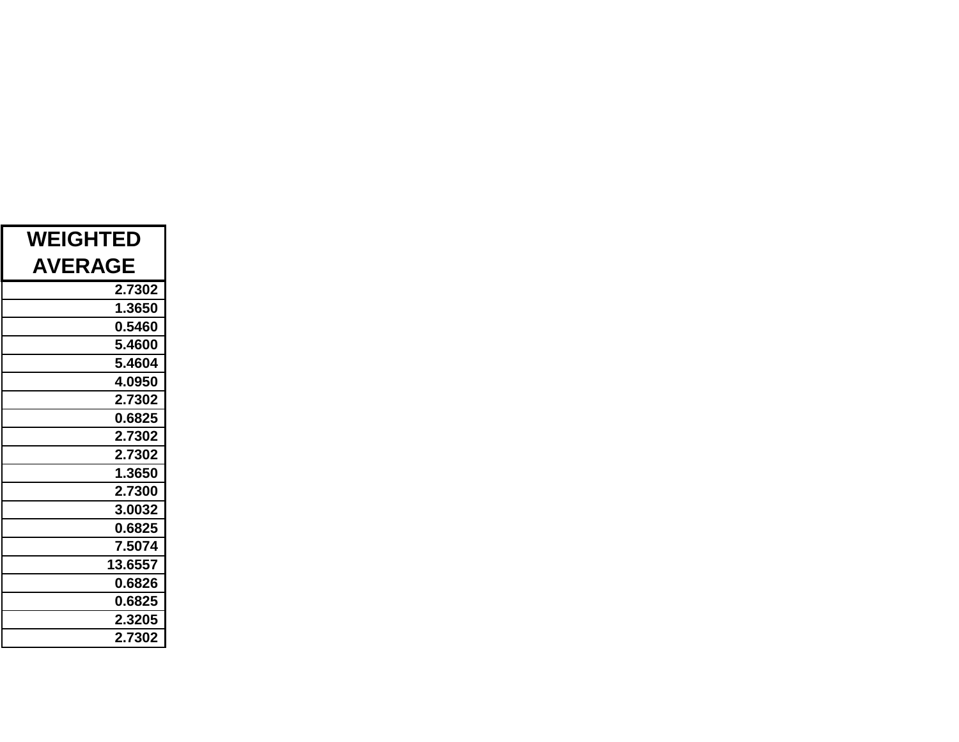| <b>WEIGHTED</b> |  |  |  |  |
|-----------------|--|--|--|--|
| <b>AVERAGE</b>  |  |  |  |  |
| 2.7302          |  |  |  |  |
| 1.3650          |  |  |  |  |
| 0.5460          |  |  |  |  |
| 5.4600          |  |  |  |  |
| 5.4604          |  |  |  |  |
| 4.0950          |  |  |  |  |
| 2.7302          |  |  |  |  |
| 0.6825          |  |  |  |  |
| 2.7302          |  |  |  |  |
| 2.7302          |  |  |  |  |
| 1.3650          |  |  |  |  |
| 2.7300          |  |  |  |  |
| 3.0032          |  |  |  |  |
| 0.6825          |  |  |  |  |
| 7.5074          |  |  |  |  |
| 13.6557         |  |  |  |  |
| 0.6826          |  |  |  |  |
| 0.6825          |  |  |  |  |
| 2.3205          |  |  |  |  |
| 2.7302          |  |  |  |  |